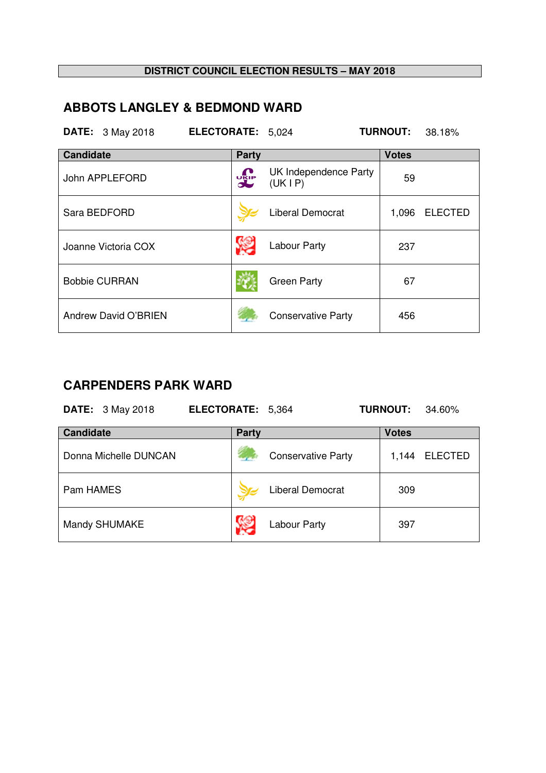## **ABBOTS LANGLEY & BEDMOND WARD**

|                  | <b>DATE:</b> 3 May 2018 | ELECTORATE: 5,024 |             |                                 | <b>TURNOUT:</b> | 38.18%         |
|------------------|-------------------------|-------------------|-------------|---------------------------------|-----------------|----------------|
| <b>Candidate</b> |                         |                   | Party       |                                 | <b>Votes</b>    |                |
|                  | John APPLEFORD          |                   | <b>UKIP</b> | UK Independence Party<br>(UKIP) | 59              |                |
|                  | Sara BEDFORD            |                   |             | <b>Liberal Democrat</b>         | 1,096           | <b>ELECTED</b> |
|                  | Joanne Victoria COX     |                   |             | Labour Party                    | 237             |                |
|                  | <b>Bobbie CURRAN</b>    |                   |             | <b>Green Party</b>              | 67              |                |
|                  | Andrew David O'BRIEN    |                   |             | <b>Conservative Party</b>       | 456             |                |

# **CARPENDERS PARK WARD**

| <b>DATE:</b> 3 May 2018 | ELECTORATE: 5,364 |                           | <b>TURNOUT:</b> | 34.60%         |
|-------------------------|-------------------|---------------------------|-----------------|----------------|
| <b>Candidate</b>        | <b>Party</b>      |                           | <b>Votes</b>    |                |
| Donna Michelle DUNCAN   |                   | <b>Conservative Party</b> | 1,144           | <b>ELECTED</b> |
| Pam HAMES               |                   | <b>Liberal Democrat</b>   | 309             |                |
| Mandy SHUMAKE           |                   | <b>Labour Party</b>       | 397             |                |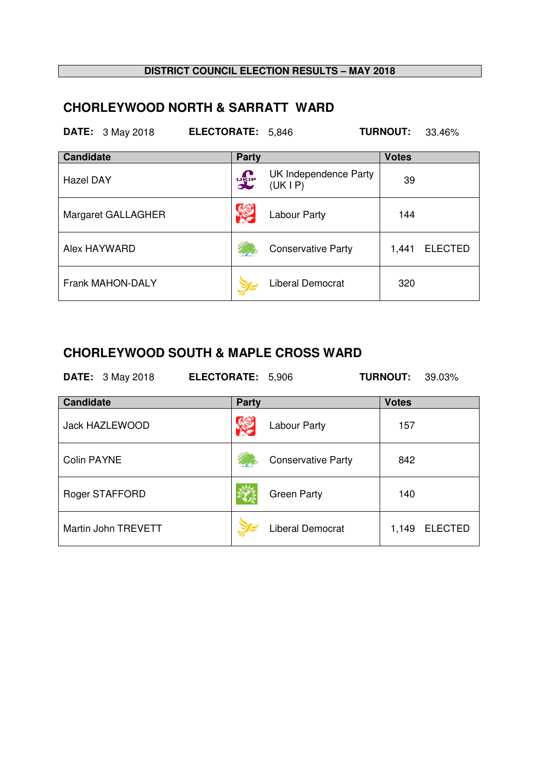## **CHORLEYWOOD NORTH & SARRATT WARD**

|                  | <b>DATE:</b> 3 May 2018 | ELECTORATE: 5,846 |              |                                 | <b>TURNOUT:</b> | 33.46%         |
|------------------|-------------------------|-------------------|--------------|---------------------------------|-----------------|----------------|
| <b>Candidate</b> |                         |                   | <b>Party</b> |                                 | <b>Votes</b>    |                |
| <b>Hazel DAY</b> |                         |                   | <b>DRIP</b>  | UK Independence Party<br>(UKIP) | 39              |                |
|                  | Margaret GALLAGHER      |                   |              | Labour Party                    | 144             |                |
|                  | Alex HAYWARD            |                   |              | <b>Conservative Party</b>       | 1,441           | <b>ELECTED</b> |
|                  | <b>Frank MAHON-DALY</b> |                   |              | <b>Liberal Democrat</b>         | 320             |                |

#### **CHORLEYWOOD SOUTH & MAPLE CROSS WARD**

| <b>DATE:</b> 3 May 2018 | ELECTORATE: 5,906 |                           | <b>TURNOUT:</b><br>39.03% |
|-------------------------|-------------------|---------------------------|---------------------------|
| <b>Candidate</b>        | Party             |                           | <b>Votes</b>              |
| <b>Jack HAZLEWOOD</b>   |                   | Labour Party              | 157                       |
| <b>Colin PAYNE</b>      |                   | <b>Conservative Party</b> | 842                       |
| Roger STAFFORD          |                   | <b>Green Party</b>        | 140                       |
| Martin John TREVETT     |                   | <b>Liberal Democrat</b>   | 1,149<br><b>ELECTED</b>   |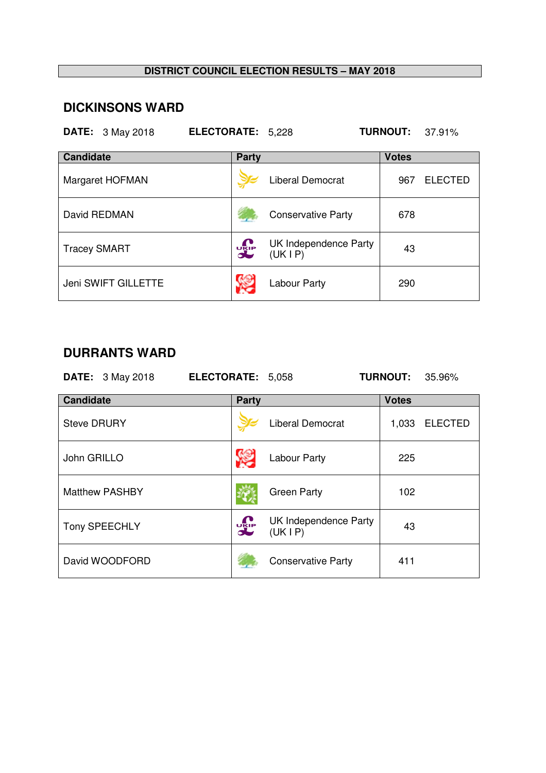### **DICKINSONS WARD**

| <b>DATE:</b> 3 May 2018 | ELECTORATE: 5,228 |                                  | <b>TURNOUT: 37.91%</b> |                |
|-------------------------|-------------------|----------------------------------|------------------------|----------------|
| <b>Candidate</b>        | Party             |                                  | <b>Votes</b>           |                |
| Margaret HOFMAN         |                   | Liberal Democrat                 | 967                    | <b>ELECTED</b> |
| David REDMAN            |                   | <b>Conservative Party</b>        | 678                    |                |
| <b>Tracey SMART</b>     | <b>UKIP</b>       | UK Independence Party<br>(UK IP) | 43                     |                |
| Jeni SWIFT GILLETTE     |                   | Labour Party                     | 290                    |                |

## **DURRANTS WARD**

|                    | <b>DATE:</b> 3 May 2018 | <b>ELECTORATE: 5,058</b> |              |                                  | <b>TURNOUT:</b> | 35.96%         |
|--------------------|-------------------------|--------------------------|--------------|----------------------------------|-----------------|----------------|
| <b>Candidate</b>   |                         |                          | <b>Party</b> |                                  | <b>Votes</b>    |                |
| <b>Steve DRURY</b> |                         |                          |              | <b>Liberal Democrat</b>          | 1,033           | <b>ELECTED</b> |
| John GRILLO        |                         |                          |              | Labour Party                     | 225             |                |
|                    | <b>Matthew PASHBY</b>   |                          |              | <b>Green Party</b>               | 102             |                |
|                    | Tony SPEECHLY           | <b>DELP</b>              |              | UK Independence Party<br>(UK IP) | 43              |                |
|                    | David WOODFORD          |                          |              | <b>Conservative Party</b>        | 411             |                |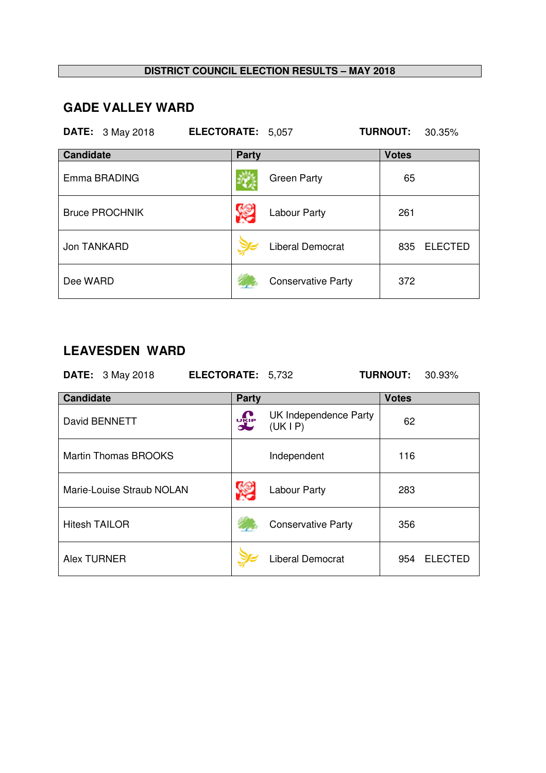## **GADE VALLEY WARD**

| <b>DATE:</b> 3 May 2018 | ELECTORATE: 5,057 |                           | <b>TURNOUT:</b><br>30.35% |
|-------------------------|-------------------|---------------------------|---------------------------|
| <b>Candidate</b>        | <b>Party</b>      |                           | <b>Votes</b>              |
| Emma BRADING            |                   | <b>Green Party</b>        | 65                        |
| <b>Bruce PROCHNIK</b>   |                   | Labour Party              | 261                       |
| Jon TANKARD             |                   | <b>Liberal Democrat</b>   | <b>ELECTED</b><br>835     |
| Dee WARD                |                   | <b>Conservative Party</b> | 372                       |

## **LEAVESDEN WARD**

**DATE:** 3 May 2018 **ELECTORATE:** 5,732 **TURNOUT:** 30.93% **Candidate Party Party Party Party Party Party Party Party Party Party Party Party Party Party Party Party Party Party Party Party Party Party Party Party Party Party P** 

| David BENNETT               | <b>DELP</b> | UK Independence Party<br>(UKIP) | 62  |         |
|-----------------------------|-------------|---------------------------------|-----|---------|
| <b>Martin Thomas BROOKS</b> |             | Independent                     | 116 |         |
| Marie-Louise Straub NOLAN   |             | Labour Party                    | 283 |         |
| <b>Hitesh TAILOR</b>        |             | <b>Conservative Party</b>       | 356 |         |
| <b>Alex TURNER</b>          |             | Liberal Democrat                | 954 | ELECTED |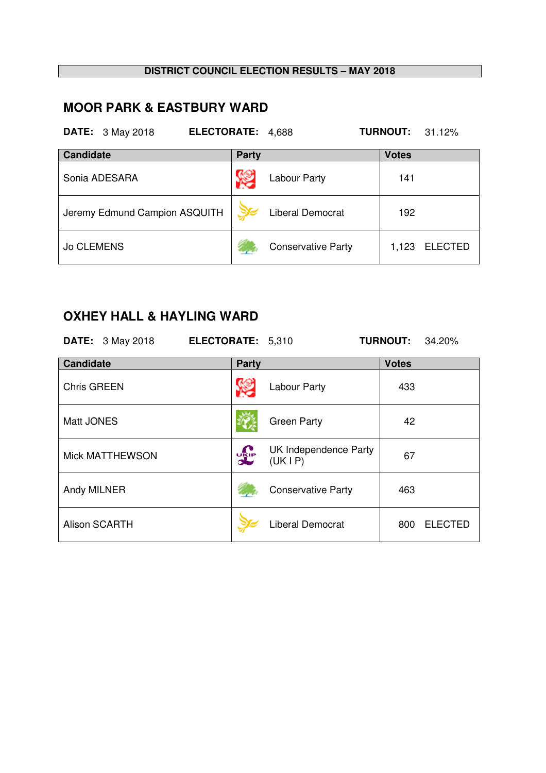## **MOOR PARK & EASTBURY WARD**

| <b>DATE:</b> 3 May 2018       | <b>ELECTORATE:</b> | 4,688                     | <b>TURNOUT:</b><br>31.12% |
|-------------------------------|--------------------|---------------------------|---------------------------|
| <b>Candidate</b>              | <b>Party</b>       |                           | <b>Votes</b>              |
| Sonia ADESARA                 |                    | <b>Labour Party</b>       | 141                       |
| Jeremy Edmund Campion ASQUITH |                    | <b>Liberal Democrat</b>   | 192                       |
| <b>Jo CLEMENS</b>             |                    | <b>Conservative Party</b> | 1,123<br><b>ELECTED</b>   |

## **OXHEY HALL & HAYLING WARD**

|                    | <b>DATE:</b> 3 May 2018 | ELECTORATE: 5,310 |            |                                  | <b>TURNOUT:</b> | 34.20%         |
|--------------------|-------------------------|-------------------|------------|----------------------------------|-----------------|----------------|
| <b>Candidate</b>   |                         |                   | Party      |                                  | <b>Votes</b>    |                |
| <b>Chris GREEN</b> |                         |                   |            | Labour Party                     | 433             |                |
| Matt JONES         |                         |                   |            | <b>Green Party</b>               | 42              |                |
|                    | <b>Mick MATTHEWSON</b>  |                   | <b>DEP</b> | UK Independence Party<br>(UK IP) | 67              |                |
| Andy MILNER        |                         |                   |            | <b>Conservative Party</b>        | 463             |                |
|                    | <b>Alison SCARTH</b>    |                   |            | <b>Liberal Democrat</b>          | 800             | <b>ELECTED</b> |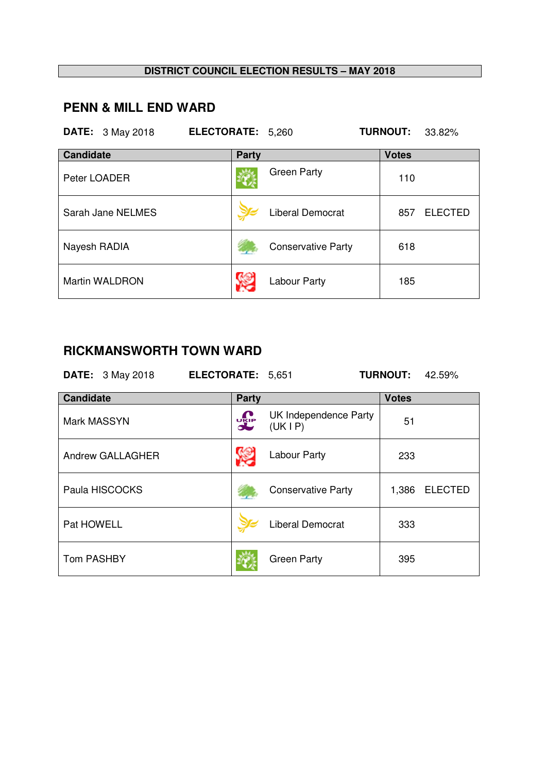# **PENN & MILL END WARD**

|                  | <b>DATE:</b> 3 May 2018 | ELECTORATE: 5,260 |              |                           | <b>TURNOUT:</b> | 33.82%         |
|------------------|-------------------------|-------------------|--------------|---------------------------|-----------------|----------------|
| <b>Candidate</b> |                         |                   | <b>Party</b> |                           | <b>Votes</b>    |                |
| Peter LOADER     |                         |                   |              | <b>Green Party</b>        | 110             |                |
|                  | Sarah Jane NELMES       |                   |              | <b>Liberal Democrat</b>   | 857             | <b>ELECTED</b> |
| Nayesh RADIA     |                         |                   |              | <b>Conservative Party</b> | 618             |                |
|                  | <b>Martin WALDRON</b>   |                   |              | Labour Party              | 185             |                |

# **RICKMANSWORTH TOWN WARD**

| RIUNWANJWUNTI IUWII WAND |                   |                                 |                 |                |  |  |  |
|--------------------------|-------------------|---------------------------------|-----------------|----------------|--|--|--|
| <b>DATE:</b> 3 May 2018  | ELECTORATE: 5,651 |                                 | <b>TURNOUT:</b> | 42.59%         |  |  |  |
| <b>Candidate</b>         | Party             |                                 | <b>Votes</b>    |                |  |  |  |
| Mark MASSYN              | <b>UKIP</b>       | UK Independence Party<br>(UKIP) | 51              |                |  |  |  |
| Andrew GALLAGHER         |                   | <b>Labour Party</b>             | 233             |                |  |  |  |
| Paula HISCOCKS           |                   | <b>Conservative Party</b>       | 1,386           | <b>ELECTED</b> |  |  |  |
| Pat HOWELL               |                   | <b>Liberal Democrat</b>         | 333             |                |  |  |  |
| <b>Tom PASHBY</b>        |                   | <b>Green Party</b>              | 395             |                |  |  |  |